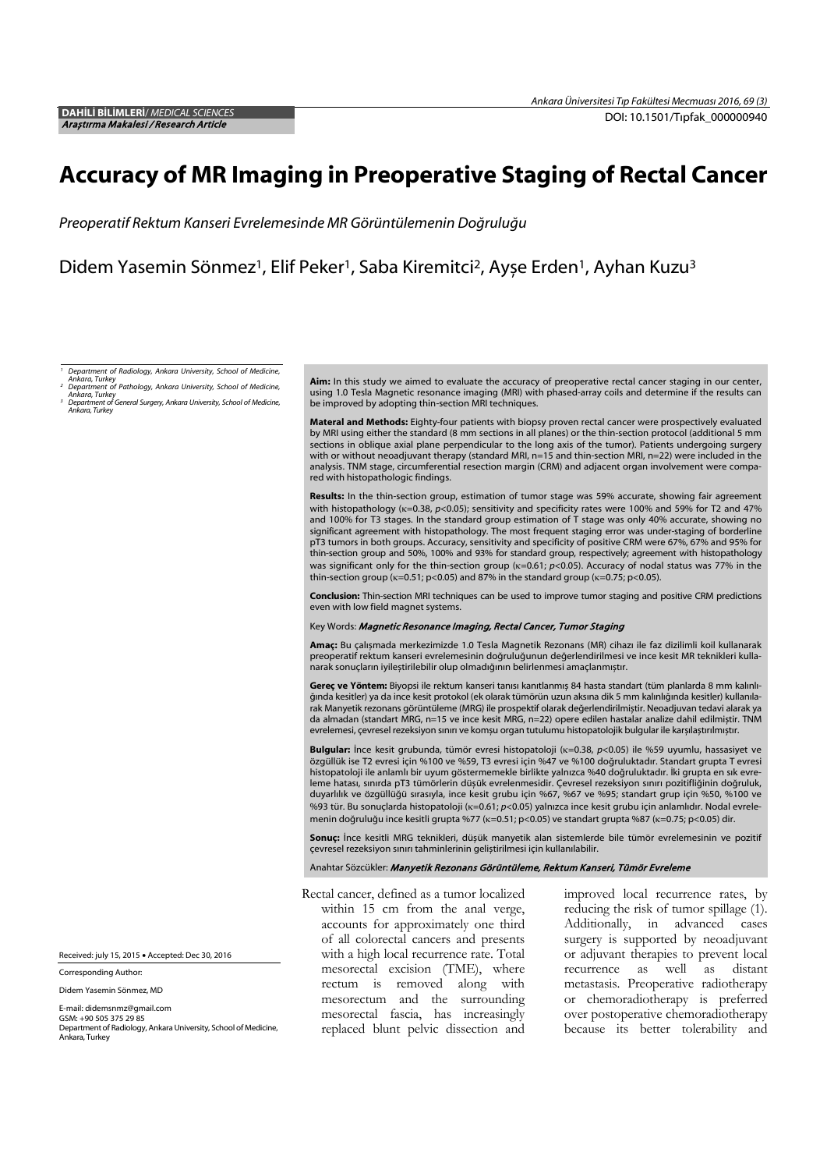# Accuracy of MR Imaging in Preoperative Staging of Rectal Cancer

Preoperatif Rektum Kanseri Evrelemesinde MR Görüntülemenin Doğruluğu

Didem Yasemin Sönmez<sup>1</sup>, Elif Peker<sup>1</sup>, Saba Kiremitci<sup>2</sup>, Ayşe Erden<sup>1</sup>, Ayhan Kuzu<sup>3</sup>

*<sup>1</sup> Department of Radiology, Ankara University, School of Medicine,* 

*Ankara, Turkey <sup>2</sup> Department of Pathology, Ankara University, School of Medicine,* 

*Ankara, Turkey <sup>3</sup> Department of General Surgery, Ankara University, School of Medicine, Ankara, Turkey*

Aim: In this study we aimed to evaluate the accuracy of preoperative rectal cancer staging in our center, using 1.0 Tesla Magnetic resonance imaging (MRI) with phased-array coils and determine if the results can be improved by adopting thin-section MRI techniques.

Materal and Methods: Fighty-four patients with biopsy proven rectal cancer were prospectively evaluated by MRI using either the standard (8 mm sections in all planes) or the thin-section protocol (additional 5 mm sections in oblique axial plane perpendicular to the long axis of the tumor). Patients undergoing surgery with or without neoadjuvant therapy (standard MRI, n=15 and thin-section MRI, n=22) were included in the analysis. TNM stage, circumferential resection margin (CRM) and adjacent organ involvement were compared with histopathologic findings.

Results: In the thin-section group, estimation of tumor stage was 59% accurate, showing fair agreement with histopathology (κ=0.38, *p*<0.05); sensitivity and specificity rates were 100% and 59% for T2 and 47% and 100% for T3 stages. In the standard group estimation of T stage was only 40% accurate, showing no significant agreement with histopathology. The most frequent staging error was under-staging of borderline pT3 tumors in both groups. Accuracy, sensitivity and specificity of positive CRM were 67%, 67% and 95% for thin-section group and 50%, 100% and 93% for standard group, respectively; agreement with histopathology was significant only for the thin-section group (κ=0.61; *p*<0.05). Accuracy of nodal status was 77% in the thin-section group ( $\kappa$ =0.51; p<0.05) and 87% in the standard group ( $\kappa$ =0.75; p<0.05).

Conclusion: Thin-section MRI techniques can be used to improve tumor staging and positive CRM predictions even with low field magnet systems.

#### Key Words: Magnetic Resonance Imaging, Rectal Cancer, Tumor Staging

Amaç: Bu çalışmada merkezimizde 1.0 Tesla Magnetik Rezonans (MR) cihazı ile faz dizilimli koil kullanarak preoperatif rektum kanseri evrelemesinin doğruluğunun değerlendirilmesi ve ince kesit MR teknikleri kulla-<br>narak sonuçların iyileştirilebilir olup olmadığının belirlenmesi amaçlanmıştır.

Gereç ve Yöntem: Biyopsi ile rektum kanseri tanısı kanıtlanmış 84 hasta standart (tüm planlarda 8 mm kalınlığında kesitler) ya da ince kesit protokol (ek olarak tümörün uzun aksına dik 5 mm kalınlığında kesitler) kullanılarak Manyetik rezonans görüntüleme (MRG) ile prospektif olarak değerlendirilmiştir. Neoadjuvan tedavi alarak ya da almadan (standart MRG, n=15 ve ince kesit MRG, n=22) opere edilen hastalar analize dahil edilmiştir. TNM evrelemesi, çevresel rezeksiyon sınırı ve komşu organ tutulumu histopatolojik bulgular ile karşılaştırılmıştır.

Bulgular: İnce kesit grubunda, tümör evresi histopatoloji (κ=0.38, *p*<0.05) ile %59 uyumlu, hassasiyet ve özgüllük ise T2 evresi için %100 ve %59, T3 evresi için %47 ve %100 doğruluktadır. Standart grupta T evresi histopatoloji ile anlamlı bir uyum göstermemekle birlikte yalnızca %40 doğruluktadır. İki grupta en sık evreleme hatası, sınırda pT3 tümörlerin düşük evrelenmesidir. Çevresel rezeksiyon sınırı pozitifliğinin doğruluk, duyarlılık ve özgüllüğü sırasıyla, ince kesit grubu için %67, %67 ve %95; standart grup için %50, %100 ve %93 tür. Bu sonuçlarda histopatoloji (κ=0.61; *p*<0.05) yalnızca ince kesit grubu için anlamlıdır. Nodal evrelemenin doğruluğu ince kesitli grupta %77 (κ=0.51; p<0.05) ve standart grupta %87 (κ=0.75; p<0.05) dir.

Sonuç: İnce kesitli MRG teknikleri, düşük manyetik alan sistemlerde bile tümör evrelemesinin ve pozitif çevresel rezeksiyon sınırı tahminlerinin geliştirilmesi için kullanılabilir.

#### Anahtar Sözcükler: Manyetik Rezonans Görüntüleme, Rektum Kanseri, Tümör Evreleme

Rectal cancer, defined as a tumor localized within 15 cm from the anal verge, accounts for approximately one third of all colorectal cancers and presents with a high local recurrence rate. Total mesorectal excision (TME), where rectum is removed along with mesorectum and the surrounding mesorectal fascia, has increasingly replaced blunt pelvic dissection and

improved local recurrence rates, by reducing the risk of tumor spillage (1). Additionally, in advanced cases surgery is supported by neoadjuvant or adjuvant therapies to prevent local recurrence as well as distant metastasis. Preoperative radiotherapy or chemoradiotherapy is preferred over postoperative chemoradiotherapy because its better tolerability and

Received: july 15, 2015 • Accepted: Dec 30, 2016

Corresponding Author:

Didem Yasemin Sönmez, MD

E-mail: didemsnmz@gmail.com

GSM: +90 505 375 29 85 Department of Radiology, Ankara University, School of Medicine, Ankara, Turkey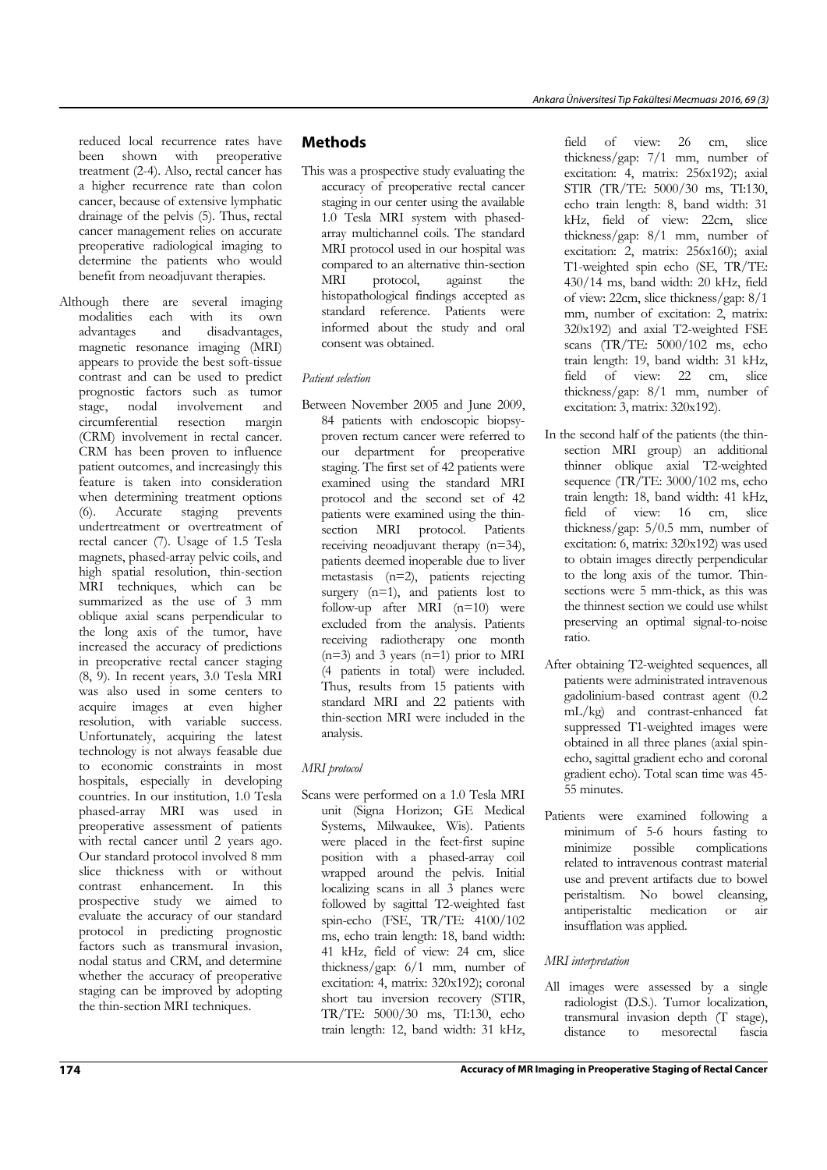reduced local recurrence rates have been shown with preoperative treatment (2-4). Also, rectal cancer has a higher recurrence rate than colon cancer, because of extensive lymphatic drainage of the pelvis (5). Thus, rectal cancer management relies on accurate preoperative radiological imaging to determine the patients who would benefit from neoadjuvant therapies.

Although there are several imaging modalities each with its own advantages and disadvantages, magnetic resonance imaging (MRI) appears to provide the best soft-tissue contrast and can be used to predict prognostic factors such as tumor<br>stage, nodal involvement and involvement circumferential resection margin (CRM) involvement in rectal cancer. CRM has been proven to influence patient outcomes, and increasingly this feature is taken into consideration when determining treatment options (6). Accurate staging prevents undertreatment or overtreatment of rectal cancer (7). Usage of 1.5 Tesla magnets, phased-array pelvic coils, and high spatial resolution, thin-section MRI techniques, which can be summarized as the use of 3 mm oblique axial scans perpendicular to the long axis of the tumor, have increased the accuracy of predictions in preoperative rectal cancer staging (8, 9). In recent years, 3.0 Tesla MRI was also used in some centers to acquire images at even higher resolution, with variable success. Unfortunately, acquiring the latest technology is not always feasable due to economic constraints in most hospitals, especially in developing countries. In our institution, 1.0 Tesla phased-array MRI was used in preoperative assessment of patients with rectal cancer until 2 years ago. Our standard protocol involved 8 mm slice thickness with or without contrast enhancement. In this prospective study we aimed to evaluate the accuracy of our standard protocol in predicting prognostic factors such as transmural invasion, nodal status and CRM, and determine whether the accuracy of preoperative staging can be improved by adopting the thin-section MRI techniques.

# Methods

This was a prospective study evaluating the accuracy of preoperative rectal cancer staging in our center using the available 1.0 Tesla MRI system with phasedarray multichannel coils. The standard MRI protocol used in our hospital was compared to an alternative thin-section MRI protocol, against the histopathological findings accepted as standard reference. Patients were informed about the study and oral consent was obtained.

## *Patient selection*

Between November 2005 and June 2009, 84 patients with endoscopic biopsyproven rectum cancer were referred to our department for preoperative staging. The first set of 42 patients were examined using the standard MRI protocol and the second set of 42 patients were examined using the thinsection MRI protocol. Patients receiving neoadjuvant therapy (n=34), patients deemed inoperable due to liver metastasis (n=2), patients rejecting surgery (n=1), and patients lost to follow-up after MRI (n=10) were excluded from the analysis. Patients receiving radiotherapy one month  $(n=3)$  and 3 years  $(n=1)$  prior to MRI (4 patients in total) were included. Thus, results from 15 patients with standard MRI and 22 patients with thin-section MRI were included in the analysis.

## *MRI protocol*

Scans were performed on a 1.0 Tesla MRI unit (Signa Horizon; GE Medical Systems, Milwaukee, Wis). Patients were placed in the feet-first supine position with a phased-array coil wrapped around the pelvis. Initial localizing scans in all 3 planes were followed by sagittal T2-weighted fast spin-echo (FSE, TR/TE: 4100/102 ms, echo train length: 18, band width: 41 kHz, field of view: 24 cm, slice thickness/gap: 6/1 mm, number of excitation: 4, matrix: 320x192); coronal short tau inversion recovery (STIR, TR/TE: 5000/30 ms, TI:130, echo train length: 12, band width: 31 kHz,

field of view: 26 cm, slice thickness/gap: 7/1 mm, number of excitation: 4, matrix: 256x192); axial STIR (TR/TE: 5000/30 ms, TI:130, echo train length: 8, band width: 31 kHz, field of view: 22cm, slice thickness/gap: 8/1 mm, number of excitation: 2, matrix: 256x160); axial T1-weighted spin echo (SE, TR/TE: 430/14 ms, band width: 20 kHz, field of view: 22cm, slice thickness/gap: 8/1 mm, number of excitation: 2, matrix: 320x192) and axial T2-weighted FSE scans (TR/TE: 5000/102 ms, echo train length: 19, band width: 31 kHz, field of view: 22 cm, slice thickness/gap: 8/1 mm, number of excitation: 3, matrix: 320x192).

- In the second half of the patients (the thinsection MRI group) an additional thinner oblique axial T2-weighted sequence (TR/TE: 3000/102 ms, echo train length: 18, band width: 41 kHz, field of view: 16 cm, slice thickness/gap: 5/0.5 mm, number of excitation: 6, matrix: 320x192) was used to obtain images directly perpendicular to the long axis of the tumor. Thinsections were 5 mm-thick, as this was the thinnest section we could use whilst preserving an optimal signal-to-noise ratio.
- After obtaining T2-weighted sequences, all patients were administrated intravenous gadolinium-based contrast agent (0.2 mL/kg) and contrast-enhanced fat suppressed T1-weighted images were obtained in all three planes (axial spinecho, sagittal gradient echo and coronal gradient echo). Total scan time was 45- 55 minutes.
- Patients were examined following a minimum of 5-6 hours fasting to<br>minimize possible complications minimize possible complications related to intravenous contrast material use and prevent artifacts due to bowel peristaltism. No bowel cleansing, antiperistaltic medication or air insufflation was applied.

## *MRI interpretation*

All images were assessed by a single radiologist (D.S.). Tumor localization, transmural invasion depth (T stage), distance to mesorectal fascia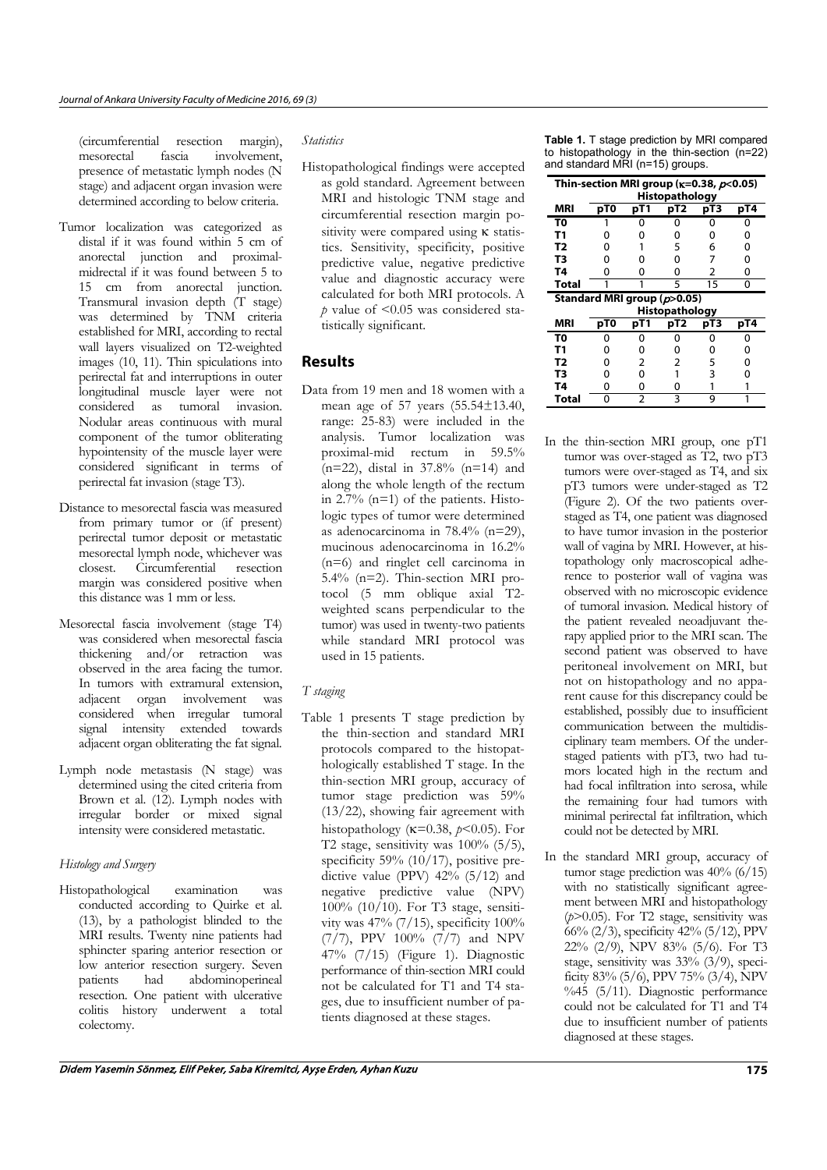(circumferential resection margin), mesorectal fascia involvement, presence of metastatic lymph nodes (N stage) and adjacent organ invasion were determined according to below criteria.

- Tumor localization was categorized as distal if it was found within 5 cm of anorectal junction and proximalmidrectal if it was found between 5 to 15 cm from anorectal junction. Transmural invasion depth (T stage) was determined by TNM criteria established for MRI, according to rectal wall layers visualized on T2-weighted images (10, 11). Thin spiculations into perirectal fat and interruptions in outer longitudinal muscle layer were not considered as tumoral invasion. Nodular areas continuous with mural component of the tumor obliterating hypointensity of the muscle layer were considered significant in terms of perirectal fat invasion (stage T3).
- Distance to mesorectal fascia was measured from primary tumor or (if present) perirectal tumor deposit or metastatic mesorectal lymph node, whichever was closest. Circumferential resection margin was considered positive when this distance was 1 mm or less.
- Mesorectal fascia involvement (stage T4) was considered when mesorectal fascia thickening and/or retraction was observed in the area facing the tumor. In tumors with extramural extension adjacent organ involvement was considered when irregular tumoral signal intensity extended towards adjacent organ obliterating the fat signal.
- Lymph node metastasis (N stage) was determined using the cited criteria from Brown et al. (12). Lymph nodes with irregular border or mixed signal intensity were considered metastatic.

## *Histology and Surgery*

Histopathological examination was conducted according to Quirke et al. (13), by a pathologist blinded to the MRI results. Twenty nine patients had sphincter sparing anterior resection or low anterior resection surgery. Seven patients had abdominoperineal resection. One patient with ulcerative colitis history underwent a total colectomy.

#### *Statistics*

Histopathological findings were accepted as gold standard. Agreement between MRI and histologic TNM stage and circumferential resection margin positivity were compared using κ statistics. Sensitivity, specificity, positive predictive value, negative predictive value and diagnostic accuracy were calculated for both MRI protocols. A *p* value of <0.05 was considered statistically significant.

## Results

Data from 19 men and 18 women with a mean age of 57 years (55.54±13.40, range: 25-83) were included in the analysis. Tumor localization was proximal-mid rectum in 59.5% (n=22), distal in 37.8% (n=14) and along the whole length of the rectum in 2.7% (n=1) of the patients. Histologic types of tumor were determined as adenocarcinoma in 78.4% (n=29), mucinous adenocarcinoma in 16.2% (n=6) and ringlet cell carcinoma in 5.4% (n=2). Thin-section MRI protocol (5 mm oblique axial T2 weighted scans perpendicular to the tumor) was used in twenty-two patients while standard MRI protocol was used in 15 patients.

#### *T staging*

Table 1 presents T stage prediction by the thin-section and standard MRI protocols compared to the histopathologically established T stage. In the thin-section MRI group, accuracy of tumor stage prediction was 59% (13/22), showing fair agreement with histopathology (κ=0.38, *p*<0.05). For T2 stage, sensitivity was 100% (5/5), specificity 59% (10/17), positive predictive value (PPV) 42% (5/12) and negative predictive value (NPV) 100% (10/10). For T3 stage, sensitivity was 47% (7/15), specificity 100% (7/7), PPV 100% (7/7) and NPV 47% (7/15) (Figure 1). Diagnostic performance of thin-section MRI could not be calculated for T1 and T4 stages, due to insufficient number of patients diagnosed at these stages.

**Table 1.** T stage prediction by MRI compared to histopathology in the thin-section (n=22) and standard MRI (n=15) groups.

| Thin-section MRI group ( $\kappa$ =0.38, $p$ <0.05) |     |     | <b>Histopathology</b> |     |     |
|-----------------------------------------------------|-----|-----|-----------------------|-----|-----|
| MRI                                                 | pT0 | pT1 | pT <sub>2</sub>       | pT3 | pT4 |
| T0                                                  | 1   | 0   | 0                     | 0   | 0   |
| T <sub>1</sub>                                      | 0   | 0   | 0                     | 0   | 0   |
| T <sub>2</sub>                                      | 0   |     | 5                     | 6   | 0   |
| T <sub>3</sub>                                      | 0   | 0   | 0                     | 7   | 0   |
| Τ4                                                  | 0   | ŋ   | 0                     | 2   | 0   |
| Total                                               |     |     | 5                     | 15  | 0   |
| Standard MRI group ( $p$ >0.05)                     |     |     |                       |     |     |
|                                                     |     |     |                       |     |     |
|                                                     |     |     | <b>Histopathology</b> |     |     |
| <b>MRI</b>                                          | pT0 | pT1 | pT <sub>2</sub>       | pT3 | pT4 |
| T0                                                  | ი   | ი   | ი                     | 0   |     |
| <b>T1</b>                                           | ი   | ŋ   | 0                     | 0   | 0   |
| T2                                                  | 0   | 2   | 2                     | 5   | 0   |
| T3                                                  | 0   | 0   |                       | 3   | 0   |
| <b>T4</b>                                           | 0   | 0   | 0                     |     |     |

- In the thin-section MRI group, one pT1 tumor was over-staged as T2, two pT3 tumors were over-staged as T4, and six pT3 tumors were under-staged as T2 (Figure 2). Of the two patients overstaged as T4, one patient was diagnosed to have tumor invasion in the posterior wall of vagina by MRI. However, at histopathology only macroscopical adherence to posterior wall of vagina was observed with no microscopic evidence of tumoral invasion. Medical history of the patient revealed neoadjuvant therapy applied prior to the MRI scan. The second patient was observed to have peritoneal involvement on MRI, but not on histopathology and no apparent cause for this discrepancy could be established, possibly due to insufficient communication between the multidisciplinary team members. Of the understaged patients with pT3, two had tumors located high in the rectum and had focal infiltration into serosa, while the remaining four had tumors with minimal perirectal fat infiltration, which could not be detected by MRI.
- In the standard MRI group, accuracy of tumor stage prediction was 40% (6/15) with no statistically significant agreement between MRI and histopathology (*p*>0.05). For T2 stage, sensitivity was 66% (2/3), specificity 42% (5/12), PPV 22% (2/9), NPV 83% (5/6). For T3 stage, sensitivity was 33% (3/9), specificity 83% (5/6), PPV 75% (3/4), NPV  $% 45 (5/11)$ . Diagnostic performance could not be calculated for T1 and T4 due to insufficient number of patients diagnosed at these stages.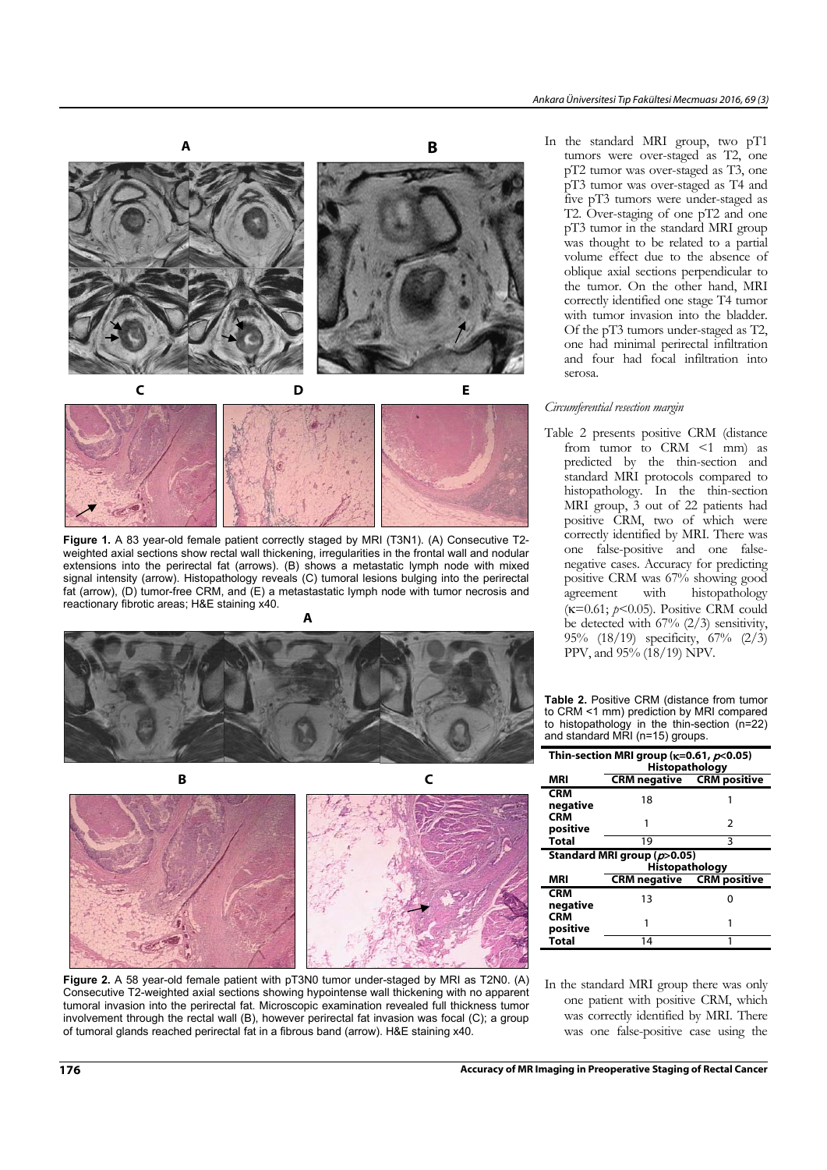



**Figure 1.** A 83 year-old female patient correctly staged by MRI (T3N1). (A) Consecutive T2 weighted axial sections show rectal wall thickening, irregularities in the frontal wall and nodular extensions into the perirectal fat (arrows). (B) shows a metastatic lymph node with mixed signal intensity (arrow). Histopathology reveals (C) tumoral lesions bulging into the perirectal fat (arrow), (D) tumor-free CRM, and (E) a metastastatic lymph node with tumor necrosis and reactionary fibrotic areas; H&E staining x40.





**Figure 2.** A 58 year-old female patient with pT3N0 tumor under-staged by MRI as T2N0. (A) Consecutive T2-weighted axial sections showing hypointense wall thickening with no apparent tumoral invasion into the perirectal fat. Microscopic examination revealed full thickness tumor involvement through the rectal wall (B), however perirectal fat invasion was focal (C); a group of tumoral glands reached perirectal fat in a fibrous band (arrow). H&E staining x40.

In the standard MRI group, two pT1 tumors were over-staged as T2, one pT2 tumor was over-staged as T3, one pT3 tumor was over-staged as T4 and five pT3 tumors were under-staged as T2. Over-staging of one pT2 and one pT3 tumor in the standard MRI group was thought to be related to a partial volume effect due to the absence of oblique axial sections perpendicular to the tumor. On the other hand, MRI correctly identified one stage T4 tumor with tumor invasion into the bladder. Of the pT3 tumors under-staged as T2, one had minimal perirectal infiltration and four had focal infiltration into serosa.

#### *Circumferential resection margin*

Table 2 presents positive CRM (distance from tumor to CRM <1 mm) as predicted by the thin-section and standard MRI protocols compared to histopathology. In the thin-section MRI group, 3 out of 22 patients had positive CRM, two of which were correctly identified by MRI. There was one false-positive and one falsenegative cases. Accuracy for predicting positive CRM was 67% showing good agreement with histopathology (κ=0.61; *p*<0.05). Positive CRM could be detected with 67% (2/3) sensitivity, 95% (18/19) specificity, 67% (2/3) PPV, and 95% (18/19) NPV.

**Table 2.** Positive CRM (distance from tumor to CRM <1 mm) prediction by MRI compared to histopathology in the thin-section (n=22) and standard MRI (n=15) groups.

|                        | Thin-section MRI group ( $\kappa$ =0.61, $p$ <0.05)<br>Histopathology |   |
|------------------------|-----------------------------------------------------------------------|---|
| MRI                    | <b>CRM negative CRM positive</b>                                      |   |
| <b>CRM</b><br>negative | 18                                                                    |   |
| <b>CRM</b><br>positive |                                                                       | 2 |
| <b>Total</b>           | 19                                                                    | ς |
|                        | Standard MRI group (p>0.05)                                           |   |
|                        |                                                                       |   |
|                        | <b>Histopathology</b>                                                 |   |
| MRI                    | <b>CRM negative CRM positive</b>                                      |   |
| <b>CRM</b><br>negative | 13                                                                    |   |
| <b>CRM</b><br>positive |                                                                       |   |

In the standard MRI group there was only one patient with positive CRM, which was correctly identified by MRI. There was one false-positive case using the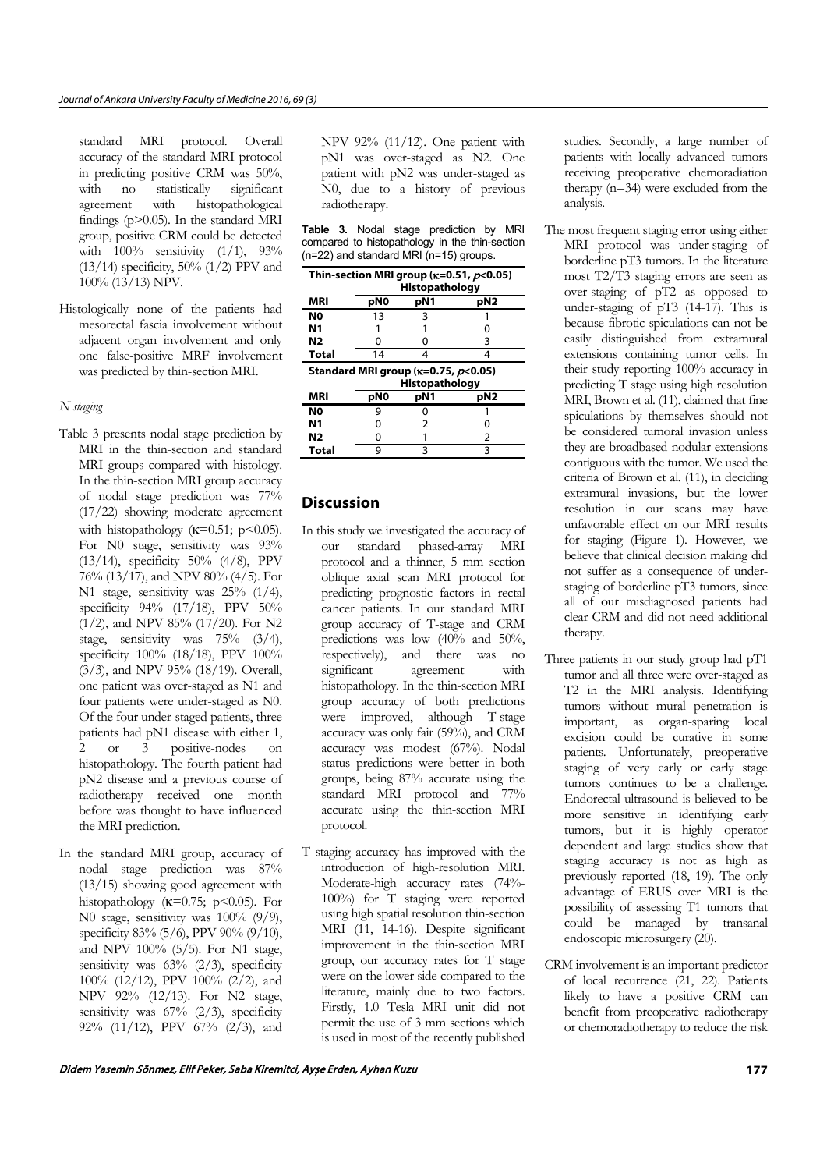standard MRI protocol. Overall accuracy of the standard MRI protocol in predicting positive CRM was 50%, with no statistically significant<br>agreement with histopathological agreement with histopathological findings (p>0.05). In the standard MRI group, positive CRM could be detected with  $100\%$  sensitivity  $(1/1)$ , 93% (13/14) specificity,  $50\%$  (1/2) PPV and 100% (13/13) NPV.

Histologically none of the patients had mesorectal fascia involvement without adjacent organ involvement and only one false-positive MRF involvement was predicted by thin-section MRI.

#### *N staging*

- Table 3 presents nodal stage prediction by MRI in the thin-section and standard MRI groups compared with histology. In the thin-section MRI group accuracy of nodal stage prediction was 77% (17/22) showing moderate agreement with histopathology ( $\kappa$ =0.51; p<0.05). For N0 stage, sensitivity was  $93\%$ (13/14), specificity 50% (4/8), PPV 76% (13/17), and NPV 80% (4/5). For N1 stage, sensitivity was 25% (1/4), specificity 94% (17/18), PPV 50%  $(1/2)$ , and NPV 85%  $(17/20)$ . For N2 stage, sensitivity was 75% (3/4), specificity 100% (18/18), PPV 100% (3/3), and NPV 95% (18/19). Overall, one patient was over-staged as N1 and four patients were under-staged as N0. Of the four under-staged patients, three patients had pN1 disease with either 1, 2 or 3 positive-nodes on histopathology. The fourth patient had pN2 disease and a previous course of radiotherapy received one month before was thought to have influenced the MRI prediction.
- In the standard MRI group, accuracy of nodal stage prediction was 87% (13/15) showing good agreement with histopathology ( $\kappa$ =0.75; p<0.05). For N0 stage, sensitivity was 100% (9/9), specificity 83% (5/6), PPV 90% (9/10), and NPV 100% (5/5). For N1 stage, sensitivity was  $63\%$  (2/3), specificity 100% (12/12), PPV 100% (2/2), and NPV 92% (12/13). For N2 stage, sensitivity was  $67\%$   $(2/3)$ , specificity 92% (11/12), PPV 67% (2/3), and

NPV 92% (11/12). One patient with pN1 was over-staged as N2. One patient with pN2 was under-staged as N0, due to a history of previous radiotherapy.

|  |  | <b>Table 3.</b> Nodal stage prediction by MRI  |  |
|--|--|------------------------------------------------|--|
|  |  | compared to histopathology in the thin-section |  |
|  |  | $(n=22)$ and standard MRI $(n=15)$ groups.     |  |

|                |                 |                                                 | Thin-section MRI group ( $\kappa$ =0.51, $\rho$ <0.05) |
|----------------|-----------------|-------------------------------------------------|--------------------------------------------------------|
|                |                 | <b>Histopathology</b>                           |                                                        |
| MRI            | pN0             | pN1                                             | pN2                                                    |
| N <sub>0</sub> | 13              | 3                                               |                                                        |
| Ν1             |                 |                                                 |                                                        |
| N2             | Ω               | O                                               | З                                                      |
|                |                 |                                                 | Δ                                                      |
| <b>Total</b>   | 14              | Δ                                               |                                                        |
|                |                 | Standard MRI group ( $\kappa$ =0.75, $p$ <0.05) |                                                        |
|                |                 | Histopathology                                  |                                                        |
| MRI            | pN <sub>0</sub> | pN1                                             | pN2                                                    |
| N0             | 9               | ი                                               |                                                        |
| Ν1             | n               | 2                                               |                                                        |
| N2             | 0               |                                                 | 2                                                      |

## **Discussion**

- In this study we investigated the accuracy of our standard phased-array MRI protocol and a thinner, 5 mm section oblique axial scan MRI protocol for predicting prognostic factors in rectal cancer patients. In our standard MRI group accuracy of T-stage and CRM predictions was low (40% and 50%, respectively), and there was no significant agreement with histopathology. In the thin-section MRI group accuracy of both predictions were improved, although T-stage accuracy was only fair (59%), and CRM accuracy was modest (67%). Nodal status predictions were better in both groups, being 87% accurate using the standard MRI protocol and 77% accurate using the thin-section MRI protocol.
- T staging accuracy has improved with the introduction of high-resolution MRI. Moderate-high accuracy rates (74%- 100%) for T staging were reported using high spatial resolution thin-section MRI (11, 14-16). Despite significant improvement in the thin-section MRI group, our accuracy rates for T stage were on the lower side compared to the literature, mainly due to two factors. Firstly, 1.0 Tesla MRI unit did not permit the use of 3 mm sections which is used in most of the recently published

studies. Secondly, a large number of patients with locally advanced tumors receiving preoperative chemoradiation therapy (n=34) were excluded from the analysis.

- The most frequent staging error using either MRI protocol was under-staging of borderline pT3 tumors. In the literature most T2/T3 staging errors are seen as over-staging of pT2 as opposed to under-staging of pT3 (14-17). This is because fibrotic spiculations can not be easily distinguished from extramural extensions containing tumor cells. In their study reporting 100% accuracy in predicting T stage using high resolution MRI, Brown et al. (11), claimed that fine spiculations by themselves should not be considered tumoral invasion unless they are broadbased nodular extensions contiguous with the tumor. We used the criteria of Brown et al. (11), in deciding extramural invasions, but the lower resolution in our scans may have unfavorable effect on our MRI results for staging (Figure 1). However, we believe that clinical decision making did not suffer as a consequence of understaging of borderline pT3 tumors, since all of our misdiagnosed patients had clear CRM and did not need additional therapy.
- Three patients in our study group had pT1 tumor and all three were over-staged as T2 in the MRI analysis. Identifying tumors without mural penetration is important, as organ-sparing local excision could be curative in some patients. Unfortunately, preoperative staging of very early or early stage tumors continues to be a challenge. Endorectal ultrasound is believed to be more sensitive in identifying early tumors, but it is highly operator dependent and large studies show that staging accuracy is not as high as previously reported (18, 19). The only advantage of ERUS over MRI is the possibility of assessing T1 tumors that could be managed by transanal endoscopic microsurgery (20).
- CRM involvement is an important predictor of local recurrence  $(21, 22)$ . Patients likely to have a positive CRM can benefit from preoperative radiotherapy or chemoradiotherapy to reduce the risk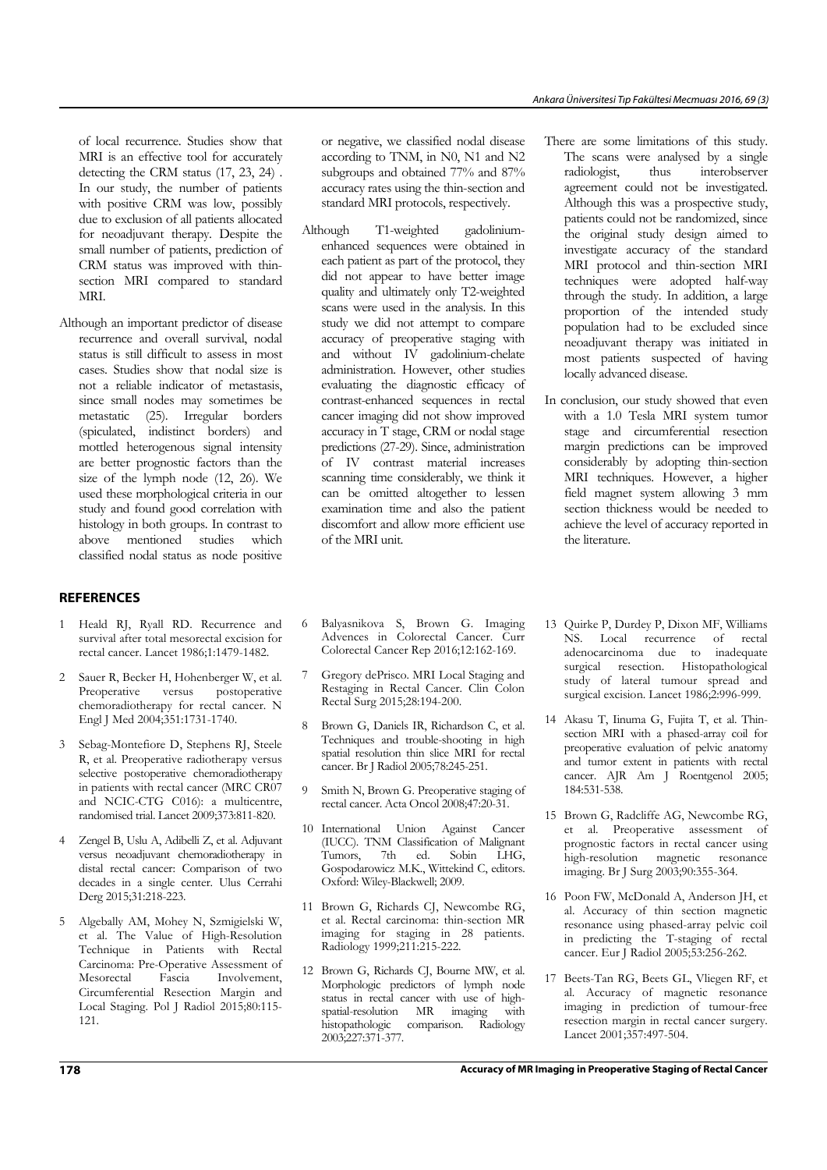of local recurrence. Studies show that MRI is an effective tool for accurately detecting the CRM status (17, 23, 24) . In our study, the number of patients with positive CRM was low, possibly due to exclusion of all patients allocated for neoadjuvant therapy. Despite the small number of patients, prediction of CRM status was improved with thinsection MRI compared to standard MRI.

Although an important predictor of disease recurrence and overall survival, nodal status is still difficult to assess in most cases. Studies show that nodal size is not a reliable indicator of metastasis, since small nodes may sometimes be metastatic (25). Irregular borders (spiculated, indistinct borders) and mottled heterogenous signal intensity are better prognostic factors than the size of the lymph node (12, 26). We used these morphological criteria in our study and found good correlation with histology in both groups. In contrast to above mentioned studies which classified nodal status as node positive

#### REFERENCES

- 1 Heald RJ, Ryall RD. Recurrence and survival after total mesorectal excision for rectal cancer. Lancet 1986;1:1479-1482.
- 2 Sauer R, Becker H, Hohenberger W, et al.<br>Preoperative versus postoperative Preoperative versus chemoradiotherapy for rectal cancer. N Engl J Med 2004;351:1731-1740.
- 3 Sebag-Montefiore D, Stephens RJ, Steele R, et al. Preoperative radiotherapy versus selective postoperative chemoradiotherapy in patients with rectal cancer (MRC CR07 and NCIC-CTG C016): a multicentre, randomised trial. Lancet 2009;373:811-820.
- 4 Zengel B, Uslu A, Adibelli Z, et al. Adjuvant versus neoadjuvant chemoradiotherapy in distal rectal cancer: Comparison of two decades in a single center. Ulus Cerrahi Derg 2015;31:218-223.
- 5 Algebally AM, Mohey N, Szmigielski W, et al. The Value of High-Resolution Technique in Patients with Rectal Carcinoma: Pre-Operative Assessment of Mesorectal Fascia Involvement, Circumferential Resection Margin and Local Staging. Pol J Radiol 2015;80:115- 121.

or negative, we classified nodal disease according to TNM, in N0, N1 and N2 subgroups and obtained 77% and 87% accuracy rates using the thin-section and standard MRI protocols, respectively.

- Although T1-weighted gadoliniumenhanced sequences were obtained in each patient as part of the protocol, they did not appear to have better image quality and ultimately only T2-weighted scans were used in the analysis. In this study we did not attempt to compare accuracy of preoperative staging with and without IV gadolinium-chelate administration. However, other studies evaluating the diagnostic efficacy of contrast-enhanced sequences in rectal cancer imaging did not show improved accuracy in T stage, CRM or nodal stage predictions (27-29). Since, administration of IV contrast material increases scanning time considerably, we think it can be omitted altogether to lessen examination time and also the patient discomfort and allow more efficient use of the MRI unit.
- 6 Balyasnikova S, Brown G. Imaging Advences in Colorectal Cancer. Curr Colorectal Cancer Rep 2016;12:162-169.
- 7 Gregory dePrisco. MRI Local Staging and Restaging in Rectal Cancer. Clin Colon Rectal Surg 2015;28:194-200.
- 8 Brown G, Daniels IR, Richardson C, et al. Techniques and trouble-shooting in high spatial resolution thin slice MRI for rectal cancer. Br J Radiol 2005;78:245-251.
- 9 Smith N, Brown G. Preoperative staging of rectal cancer. Acta Oncol 2008;47:20-31.
- 10 International Union Against Cancer (IUCC). TNM Classification of Malignant Tumors, 7th ed. Sobin LHG, Gospodarowicz M.K., Wittekind C, editors. Oxford: Wiley-Blackwell; 2009.
- 11 Brown G, Richards CJ, Newcombe RG, et al. Rectal carcinoma: thin-section MR imaging for staging in 28 patients. Radiology 1999;211:215-222.
- 12 Brown G, Richards CJ, Bourne MW, et al. Morphologic predictors of lymph node status in rectal cancer with use of highspatial-resolution MR imaging with histopathologic comparison. Radiology 2003;227:371-377.
- There are some limitations of this study. The scans were analysed by a single radiologist, thus interobserver agreement could not be investigated. Although this was a prospective study, patients could not be randomized, since the original study design aimed to investigate accuracy of the standard MRI protocol and thin-section MRI techniques were adopted half-way through the study. In addition, a large proportion of the intended study population had to be excluded since neoadjuvant therapy was initiated in most patients suspected of having locally advanced disease.
- In conclusion, our study showed that even with a 1.0 Tesla MRI system tumor stage and circumferential resection margin predictions can be improved considerably by adopting thin-section MRI techniques. However, a higher field magnet system allowing 3 mm section thickness would be needed to achieve the level of accuracy reported in the literature.
- 13 Quirke P, Durdey P, Dixon MF, Williams NS. Local recurrence of rectal adenocarcinoma due to inadequate surgical resection. Histopathological study of lateral tumour spread and surgical excision. Lancet 1986:2:996-999.
- 14 Akasu T, Iinuma G, Fujita T, et al. Thinsection MRI with a phased-array coil for preoperative evaluation of pelvic anatomy and tumor extent in patients with rectal cancer. AJR Am J Roentgenol 2005; 184:531-538.
- 15 Brown G, Radcliffe AG, Newcombe RG, et al. Preoperative assessment of prognostic factors in rectal cancer using high-resolution magnetic resonance imaging. Br J Surg 2003;90:355-364.
- 16 Poon FW, McDonald A, Anderson JH, et al. Accuracy of thin section magnetic resonance using phased-array pelvic coil in predicting the T-staging of rectal cancer. Eur J Radiol 2005:53:256-262.
- 17 Beets-Tan RG, Beets GL, Vliegen RF, et al. Accuracy of magnetic resonance imaging in prediction of tumour-free resection margin in rectal cancer surgery. Lancet 2001;357:497-504.